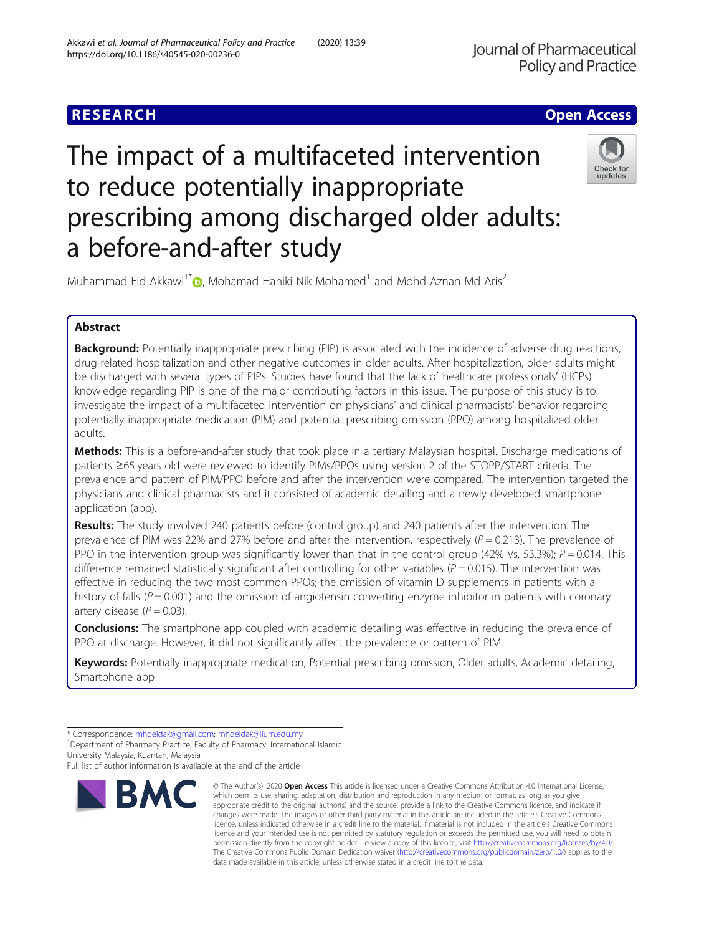## **RESEARCH CHE Open Access**

# The impact of a multifaceted intervention to reduce potentially inappropriate prescribing among discharged older adults: a before-and-after study



Muhammad Eid Akkawi<sup>1\*</sup> , Mohamad Haniki Nik Mohamed<sup>1</sup> and Mohd Aznan Md Aris<sup>2</sup>

## Abstract

Background: Potentially inappropriate prescribing (PIP) is associated with the incidence of adverse drug reactions, drug-related hospitalization and other negative outcomes in older adults. After hospitalization, older adults might be discharged with several types of PIPs. Studies have found that the lack of healthcare professionals' (HCPs) knowledge regarding PIP is one of the major contributing factors in this issue. The purpose of this study is to investigate the impact of a multifaceted intervention on physicians' and clinical pharmacists' behavior regarding potentially inappropriate medication (PIM) and potential prescribing omission (PPO) among hospitalized older adults.

Methods: This is a before-and-after study that took place in a tertiary Malaysian hospital. Discharge medications of patients ≥65 years old were reviewed to identify PIMs/PPOs using version 2 of the STOPP/START criteria. The prevalence and pattern of PIM/PPO before and after the intervention were compared. The intervention targeted the physicians and clinical pharmacists and it consisted of academic detailing and a newly developed smartphone application (app).

Results: The study involved 240 patients before (control group) and 240 patients after the intervention. The prevalence of PIM was 22% and 27% before and after the intervention, respectively  $(P = 0.213)$ . The prevalence of PPO in the intervention group was significantly lower than that in the control group (42% Vs. 53.3%);  $P = 0.014$ . This difference remained statistically significant after controlling for other variables ( $P = 0.015$ ). The intervention was effective in reducing the two most common PPOs; the omission of vitamin D supplements in patients with a history of falls ( $P = 0.001$ ) and the omission of angiotensin converting enzyme inhibitor in patients with coronary artery disease  $(P = 0.03)$ .

**Conclusions:** The smartphone app coupled with academic detailing was effective in reducing the prevalence of PPO at discharge. However, it did not significantly affect the prevalence or pattern of PIM.

Keywords: Potentially inappropriate medication, Potential prescribing omission, Older adults, Academic detailing, Smartphone app

<sup>1</sup> Department of Pharmacy Practice, Faculty of Pharmacy, International Islamic University Malaysia, Kuantan, Malaysia

Full list of author information is available at the end of the article



<sup>©</sup> The Author(s), 2020 **Open Access** This article is licensed under a Creative Commons Attribution 4.0 International License, which permits use, sharing, adaptation, distribution and reproduction in any medium or format, as long as you give appropriate credit to the original author(s) and the source, provide a link to the Creative Commons licence, and indicate if changes were made. The images or other third party material in this article are included in the article's Creative Commons licence, unless indicated otherwise in a credit line to the material. If material is not included in the article's Creative Commons licence and your intended use is not permitted by statutory regulation or exceeds the permitted use, you will need to obtain permission directly from the copyright holder. To view a copy of this licence, visit [http://creativecommons.org/licenses/by/4.0/.](http://creativecommons.org/licenses/by/4.0/) The Creative Commons Public Domain Dedication waiver [\(http://creativecommons.org/publicdomain/zero/1.0/](http://creativecommons.org/publicdomain/zero/1.0/)) applies to the data made available in this article, unless otherwise stated in a credit line to the data.

<sup>\*</sup> Correspondence: [mhdeidak@gmail.com](mailto:mhdeidak@gmail.com); [mhdeidak@iium.edu.my](mailto:mhdeidak@iium.edu.my) <sup>1</sup>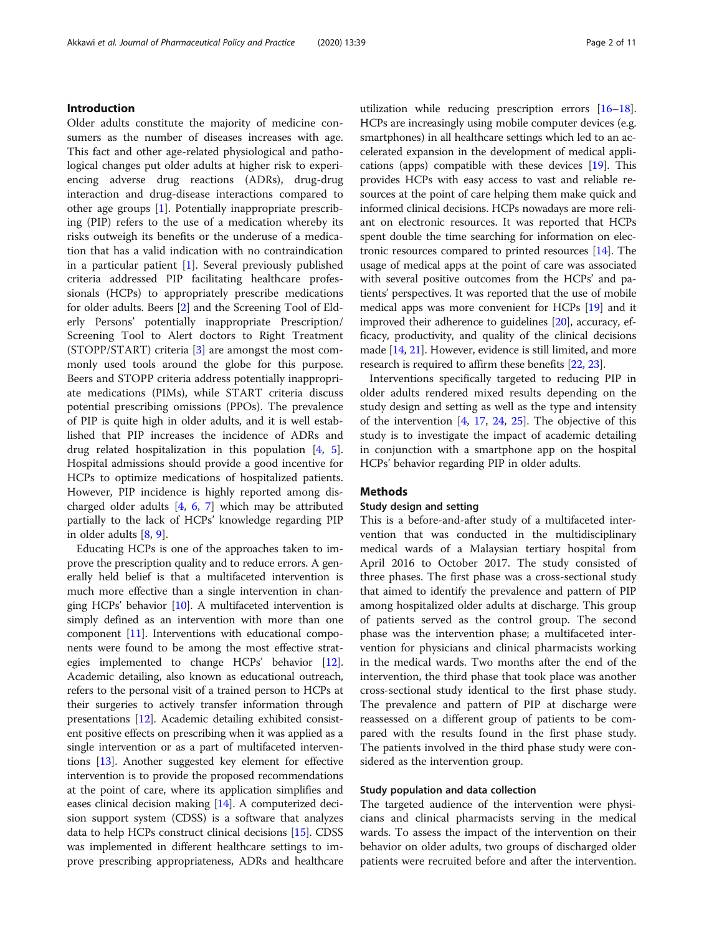## Introduction

Older adults constitute the majority of medicine consumers as the number of diseases increases with age. This fact and other age-related physiological and pathological changes put older adults at higher risk to experiencing adverse drug reactions (ADRs), drug-drug interaction and drug-disease interactions compared to other age groups [\[1](#page-8-0)]. Potentially inappropriate prescribing (PIP) refers to the use of a medication whereby its risks outweigh its benefits or the underuse of a medication that has a valid indication with no contraindication in a particular patient [\[1](#page-8-0)]. Several previously published criteria addressed PIP facilitating healthcare professionals (HCPs) to appropriately prescribe medications for older adults. Beers [[2\]](#page-8-0) and the Screening Tool of Elderly Persons' potentially inappropriate Prescription/ Screening Tool to Alert doctors to Right Treatment (STOPP/START) criteria [[3\]](#page-8-0) are amongst the most commonly used tools around the globe for this purpose. Beers and STOPP criteria address potentially inappropriate medications (PIMs), while START criteria discuss potential prescribing omissions (PPOs). The prevalence of PIP is quite high in older adults, and it is well established that PIP increases the incidence of ADRs and drug related hospitalization in this population [[4](#page-8-0), [5](#page-8-0)]. Hospital admissions should provide a good incentive for HCPs to optimize medications of hospitalized patients. However, PIP incidence is highly reported among discharged older adults [[4,](#page-8-0) [6](#page-8-0), [7\]](#page-8-0) which may be attributed partially to the lack of HCPs' knowledge regarding PIP in older adults [\[8,](#page-8-0) [9\]](#page-8-0).

Educating HCPs is one of the approaches taken to improve the prescription quality and to reduce errors. A generally held belief is that a multifaceted intervention is much more effective than a single intervention in changing HCPs' behavior [\[10\]](#page-8-0). A multifaceted intervention is simply defined as an intervention with more than one component [[11\]](#page-8-0). Interventions with educational components were found to be among the most effective strategies implemented to change HCPs' behavior [[12](#page-9-0)]. Academic detailing, also known as educational outreach, refers to the personal visit of a trained person to HCPs at their surgeries to actively transfer information through presentations [\[12\]](#page-9-0). Academic detailing exhibited consistent positive effects on prescribing when it was applied as a single intervention or as a part of multifaceted interventions [\[13\]](#page-9-0). Another suggested key element for effective intervention is to provide the proposed recommendations at the point of care, where its application simplifies and eases clinical decision making [\[14\]](#page-9-0). A computerized decision support system (CDSS) is a software that analyzes data to help HCPs construct clinical decisions [\[15\]](#page-9-0). CDSS was implemented in different healthcare settings to improve prescribing appropriateness, ADRs and healthcare

utilization while reducing prescription errors [\[16](#page-9-0)–[18](#page-9-0)]. HCPs are increasingly using mobile computer devices (e.g. smartphones) in all healthcare settings which led to an accelerated expansion in the development of medical applications (apps) compatible with these devices [\[19\]](#page-9-0). This provides HCPs with easy access to vast and reliable resources at the point of care helping them make quick and informed clinical decisions. HCPs nowadays are more reliant on electronic resources. It was reported that HCPs spent double the time searching for information on electronic resources compared to printed resources [\[14\]](#page-9-0). The usage of medical apps at the point of care was associated with several positive outcomes from the HCPs' and patients' perspectives. It was reported that the use of mobile medical apps was more convenient for HCPs [[19\]](#page-9-0) and it improved their adherence to guidelines [[20\]](#page-9-0), accuracy, efficacy, productivity, and quality of the clinical decisions made [\[14,](#page-9-0) [21](#page-9-0)]. However, evidence is still limited, and more research is required to affirm these benefits [\[22,](#page-9-0) [23](#page-9-0)].

Interventions specifically targeted to reducing PIP in older adults rendered mixed results depending on the study design and setting as well as the type and intensity of the intervention  $[4, 17, 24, 25]$  $[4, 17, 24, 25]$  $[4, 17, 24, 25]$  $[4, 17, 24, 25]$  $[4, 17, 24, 25]$  $[4, 17, 24, 25]$  $[4, 17, 24, 25]$ . The objective of this study is to investigate the impact of academic detailing in conjunction with a smartphone app on the hospital HCPs' behavior regarding PIP in older adults.

## Methods

## Study design and setting

This is a before-and-after study of a multifaceted intervention that was conducted in the multidisciplinary medical wards of a Malaysian tertiary hospital from April 2016 to October 2017. The study consisted of three phases. The first phase was a cross-sectional study that aimed to identify the prevalence and pattern of PIP among hospitalized older adults at discharge. This group of patients served as the control group. The second phase was the intervention phase; a multifaceted intervention for physicians and clinical pharmacists working in the medical wards. Two months after the end of the intervention, the third phase that took place was another cross-sectional study identical to the first phase study. The prevalence and pattern of PIP at discharge were reassessed on a different group of patients to be compared with the results found in the first phase study. The patients involved in the third phase study were considered as the intervention group.

## Study population and data collection

The targeted audience of the intervention were physicians and clinical pharmacists serving in the medical wards. To assess the impact of the intervention on their behavior on older adults, two groups of discharged older patients were recruited before and after the intervention.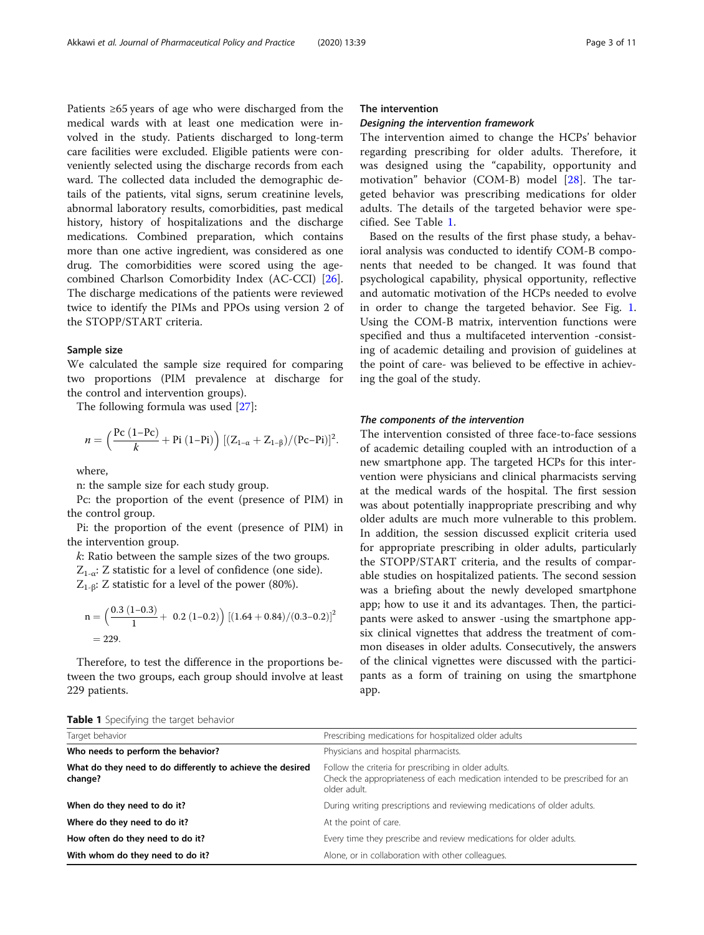Patients ≥65 years of age who were discharged from the medical wards with at least one medication were involved in the study. Patients discharged to long-term care facilities were excluded. Eligible patients were conveniently selected using the discharge records from each ward. The collected data included the demographic details of the patients, vital signs, serum creatinine levels, abnormal laboratory results, comorbidities, past medical history, history of hospitalizations and the discharge medications. Combined preparation, which contains more than one active ingredient, was considered as one drug. The comorbidities were scored using the agecombined Charlson Comorbidity Index (AC-CCI) [\[26](#page-9-0)]. The discharge medications of the patients were reviewed twice to identify the PIMs and PPOs using version 2 of the STOPP/START criteria.

## Sample size

We calculated the sample size required for comparing two proportions (PIM prevalence at discharge for the control and intervention groups).

The following formula was used [\[27](#page-9-0)]:

$$
\textbf{ \textit{n}}=\Big(\frac{Pc\left(1{-}Pc\right)}{k}+Pi\left(1{-}Pi\right)\Big)\left[(Z_{1-\alpha}+Z_{1-\beta})/(Pc{-}Pi)\right]^2.
$$

where,

n: the sample size for each study group.

Pc: the proportion of the event (presence of PIM) in the control group.

Pi: the proportion of the event (presence of PIM) in the intervention group.

k: Ratio between the sample sizes of the two groups.  $Z_{1-\alpha}$ : Z statistic for a level of confidence (one side).  $Z_{1-\beta}$ : Z statistic for a level of the power (80%).

n = 
$$
\left(\frac{0.3 (1-0.3)}{1} + 0.2 (1-0.2)\right) [(1.64 + 0.84)/(0.3-0.2)]^2
$$
  
= 229.

Therefore, to test the difference in the proportions between the two groups, each group should involve at least 229 patients.

## The intervention

The intervention aimed to change the HCPs' behavior regarding prescribing for older adults. Therefore, it was designed using the "capability, opportunity and motivation" behavior (COM-B) model [\[28](#page-9-0)]. The targeted behavior was prescribing medications for older adults. The details of the targeted behavior were specified. See Table 1.

Based on the results of the first phase study, a behavioral analysis was conducted to identify COM-B components that needed to be changed. It was found that psychological capability, physical opportunity, reflective and automatic motivation of the HCPs needed to evolve in order to change the targeted behavior. See Fig. [1](#page-3-0). Using the COM-B matrix, intervention functions were specified and thus a multifaceted intervention -consisting of academic detailing and provision of guidelines at the point of care- was believed to be effective in achieving the goal of the study.

The intervention consisted of three face-to-face sessions of academic detailing coupled with an introduction of a new smartphone app. The targeted HCPs for this intervention were physicians and clinical pharmacists serving at the medical wards of the hospital. The first session was about potentially inappropriate prescribing and why older adults are much more vulnerable to this problem. In addition, the session discussed explicit criteria used for appropriate prescribing in older adults, particularly the STOPP/START criteria, and the results of comparable studies on hospitalized patients. The second session was a briefing about the newly developed smartphone app; how to use it and its advantages. Then, the participants were asked to answer -using the smartphone appsix clinical vignettes that address the treatment of common diseases in older adults. Consecutively, the answers of the clinical vignettes were discussed with the participants as a form of training on using the smartphone app.

Table 1 Specifying the target behavior

| Target behavior                                                       | Prescribing medications for hospitalized older adults                                                                                                 |  |  |
|-----------------------------------------------------------------------|-------------------------------------------------------------------------------------------------------------------------------------------------------|--|--|
| Who needs to perform the behavior?                                    | Physicians and hospital pharmacists.                                                                                                                  |  |  |
| What do they need to do differently to achieve the desired<br>change? | Follow the criteria for prescribing in older adults.<br>Check the appropriateness of each medication intended to be prescribed for an<br>older adult. |  |  |
| When do they need to do it?                                           | During writing prescriptions and reviewing medications of older adults.                                                                               |  |  |
| Where do they need to do it?                                          | At the point of care.                                                                                                                                 |  |  |
| How often do they need to do it?                                      | Every time they prescribe and review medications for older adults.                                                                                    |  |  |
| With whom do they need to do it?                                      | Alone, or in collaboration with other colleagues.                                                                                                     |  |  |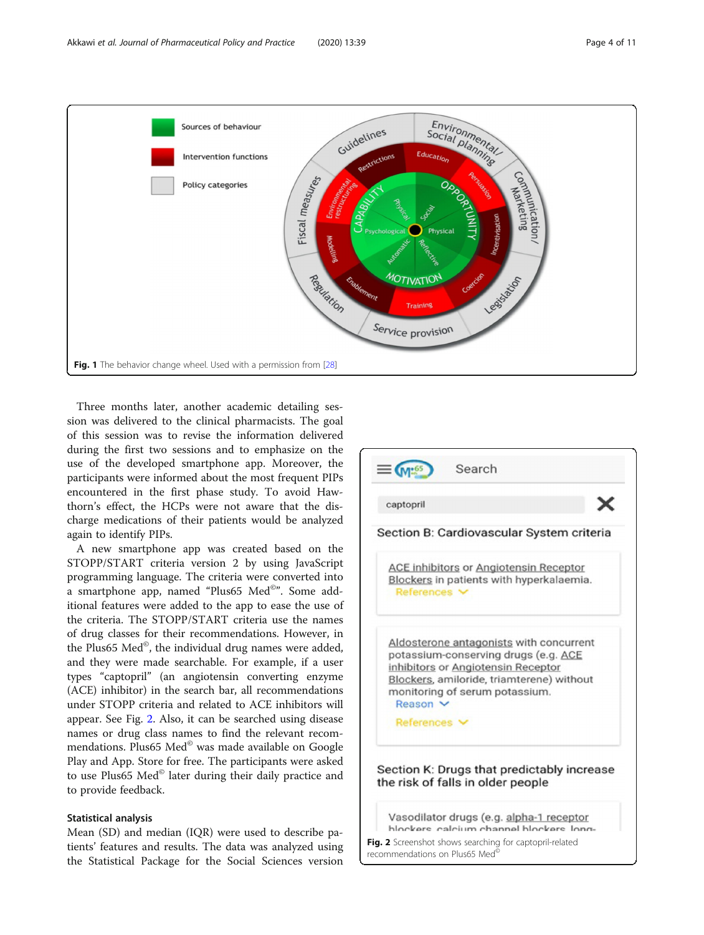<span id="page-3-0"></span>

Three months later, another academic detailing session was delivered to the clinical pharmacists. The goal of this session was to revise the information delivered during the first two sessions and to emphasize on the use of the developed smartphone app. Moreover, the participants were informed about the most frequent PIPs encountered in the first phase study. To avoid Hawthorn's effect, the HCPs were not aware that the discharge medications of their patients would be analyzed again to identify PIPs.

A new smartphone app was created based on the STOPP/START criteria version 2 by using JavaScript programming language. The criteria were converted into a smartphone app, named "Plus65 Med©". Some additional features were added to the app to ease the use of the criteria. The STOPP/START criteria use the names of drug classes for their recommendations. However, in the Plus65 Med©, the individual drug names were added, and they were made searchable. For example, if a user types "captopril" (an angiotensin converting enzyme (ACE) inhibitor) in the search bar, all recommendations under STOPP criteria and related to ACE inhibitors will appear. See Fig. 2. Also, it can be searched using disease names or drug class names to find the relevant recommendations. Plus65 Med© was made available on Google Play and App. Store for free. The participants were asked to use Plus65 Med© later during their daily practice and to provide feedback.

## Statistical analysis

Mean (SD) and median (IQR) were used to describe patients' features and results. The data was analyzed using the Statistical Package for the Social Sciences version

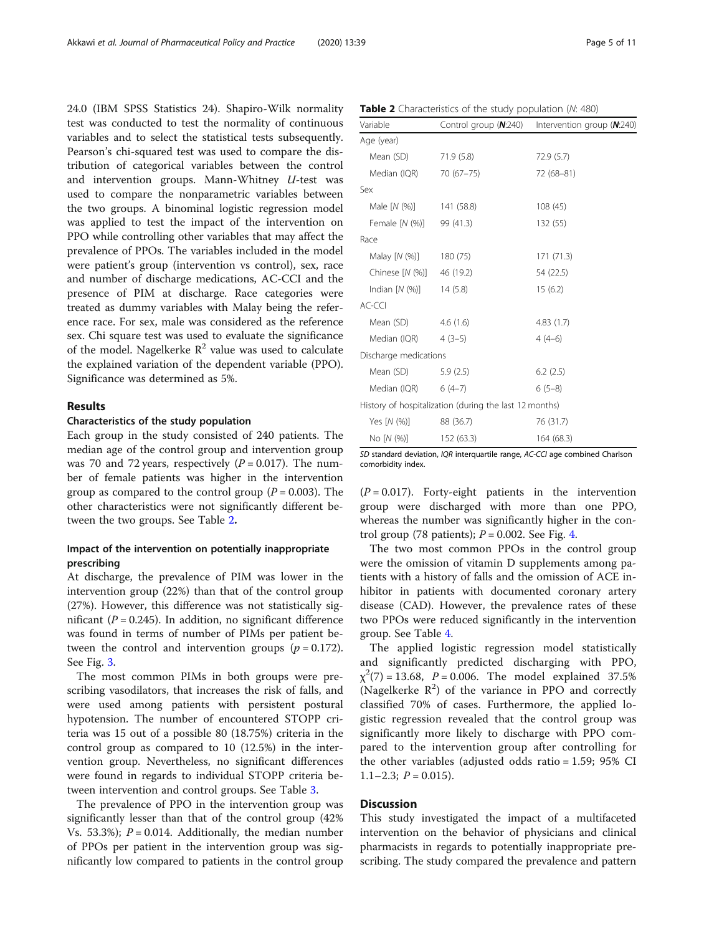24.0 (IBM SPSS Statistics 24). Shapiro-Wilk normality test was conducted to test the normality of continuous variables and to select the statistical tests subsequently. Pearson's chi-squared test was used to compare the distribution of categorical variables between the control and intervention groups. Mann-Whitney U-test was used to compare the nonparametric variables between the two groups. A binominal logistic regression model was applied to test the impact of the intervention on PPO while controlling other variables that may affect the prevalence of PPOs. The variables included in the model were patient's group (intervention vs control), sex, race and number of discharge medications, AC-CCI and the presence of PIM at discharge. Race categories were treated as dummy variables with Malay being the reference race. For sex, male was considered as the reference sex. Chi square test was used to evaluate the significance of the model. Nagelkerke  $R^2$  value was used to calculate the explained variation of the dependent variable (PPO). Significance was determined as 5%.

## Results

## Characteristics of the study population

Each group in the study consisted of 240 patients. The median age of the control group and intervention group was 70 and 72 years, respectively  $(P = 0.017)$ . The number of female patients was higher in the intervention group as compared to the control group ( $P = 0.003$ ). The other characteristics were not significantly different between the two groups. See Table 2.

## Impact of the intervention on potentially inappropriate prescribing

At discharge, the prevalence of PIM was lower in the intervention group (22%) than that of the control group (27%). However, this difference was not statistically significant ( $P = 0.245$ ). In addition, no significant difference was found in terms of number of PIMs per patient between the control and intervention groups ( $p = 0.172$ ). See Fig. [3.](#page-5-0)

The most common PIMs in both groups were prescribing vasodilators, that increases the risk of falls, and were used among patients with persistent postural hypotension. The number of encountered STOPP criteria was 15 out of a possible 80 (18.75%) criteria in the control group as compared to 10 (12.5%) in the intervention group. Nevertheless, no significant differences were found in regards to individual STOPP criteria between intervention and control groups. See Table [3](#page-5-0).

The prevalence of PPO in the intervention group was significantly lesser than that of the control group (42% Vs. 53.3%);  $P = 0.014$ . Additionally, the median number of PPOs per patient in the intervention group was significantly low compared to patients in the control group

| Table 2 Characteristics of the study population (N: 480) |  |  |  |  |  |  |  |
|----------------------------------------------------------|--|--|--|--|--|--|--|
|----------------------------------------------------------|--|--|--|--|--|--|--|

| Variable                  | Control group $(N:240)$                                | Intervention group (N:240) |
|---------------------------|--------------------------------------------------------|----------------------------|
| Age (year)                |                                                        |                            |
| Mean (SD)                 | 71.9 (5.8)                                             | 72.9(5.7)                  |
| Median (IQR) 70 (67-75)   |                                                        | 72 (68-81)                 |
| Sex                       |                                                        |                            |
| Male [N (%)] 141 (58.8)   |                                                        | 108(45)                    |
| Female [N (%)] 99 (41.3)  |                                                        | 132 (55)                   |
| Race                      |                                                        |                            |
| Malay [N (%)] 180 (75)    |                                                        | 171 (71.3)                 |
| Chinese [N (%)] 46 (19.2) |                                                        | 54 (22.5)                  |
| Indian $[N (%)]$ 14 (5.8) |                                                        | 15(6.2)                    |
| AC-CCI                    |                                                        |                            |
| Mean (SD) 4.6 (1.6)       |                                                        | 4.83(1.7)                  |
| Median (IQR) $4(3-5)$     |                                                        | $4(4-6)$                   |
| Discharge medications     |                                                        |                            |
| Mean (SD)                 | 5.9(2.5)                                               | 6.2(2.5)                   |
| Median (IQR) $6(4-7)$     |                                                        | $6(5-8)$                   |
|                           | History of hospitalization (during the last 12 months) |                            |
| Yes $[N(%)]$              | 88 (36.7)                                              | 76 (31.7)                  |
| No [N (%)]                | 152 (63.3)                                             | 164 (68.3)                 |

SD standard deviation, IQR interquartile range, AC-CCI age combined Charlson comorbidity index.

 $(P = 0.017)$ . Forty-eight patients in the intervention group were discharged with more than one PPO, whereas the number was significantly higher in the control group (78 patients);  $P = 0.002$ . See Fig. [4.](#page-6-0)

The two most common PPOs in the control group were the omission of vitamin D supplements among patients with a history of falls and the omission of ACE inhibitor in patients with documented coronary artery disease (CAD). However, the prevalence rates of these two PPOs were reduced significantly in the intervention group. See Table [4](#page-6-0).

The applied logistic regression model statistically and significantly predicted discharging with PPO,  $\chi^2(7) = 13.68$ ,  $P = 0.006$ . The model explained 37.5% (Nagelkerke  $R^2$ ) of the variance in PPO and correctly classified 70% of cases. Furthermore, the applied logistic regression revealed that the control group was significantly more likely to discharge with PPO compared to the intervention group after controlling for the other variables (adjusted odds ratio = 1.59; 95% CI 1.1–2.3;  $P = 0.015$ ).

## **Discussion**

This study investigated the impact of a multifaceted intervention on the behavior of physicians and clinical pharmacists in regards to potentially inappropriate prescribing. The study compared the prevalence and pattern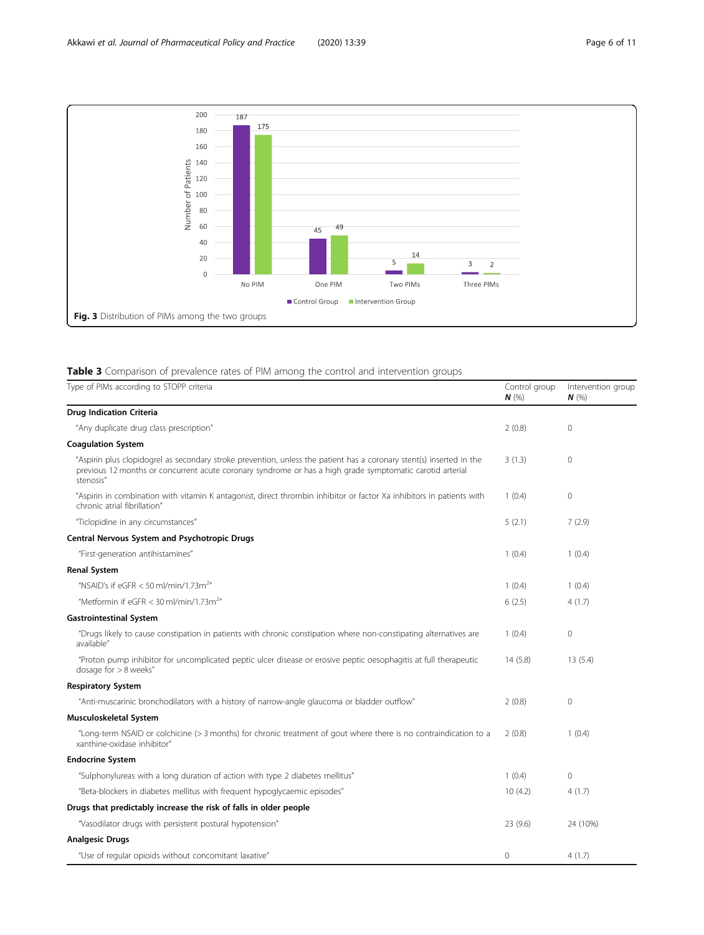<span id="page-5-0"></span>

## Table 3 Comparison of prevalence rates of PIM among the control and intervention groups

| Type of PIMs according to STOPP criteria                                                                                                                                                                                                       | Control group<br>N(%) | Intervention group<br>$N$ (%) |
|------------------------------------------------------------------------------------------------------------------------------------------------------------------------------------------------------------------------------------------------|-----------------------|-------------------------------|
| <b>Drug Indication Criteria</b>                                                                                                                                                                                                                |                       |                               |
| "Any duplicate drug class prescription"                                                                                                                                                                                                        | 2(0.8)                | $\mathbf{0}$                  |
| <b>Coagulation System</b>                                                                                                                                                                                                                      |                       |                               |
| "Aspirin plus clopidogrel as secondary stroke prevention, unless the patient has a coronary stent(s) inserted in the<br>previous 12 months or concurrent acute coronary syndrome or has a high grade symptomatic carotid arterial<br>stenosis" | 3(1.3)                | $\mathbf{0}$                  |
| "Aspirin in combination with vitamin K antagonist, direct thrombin inhibitor or factor Xa inhibitors in patients with<br>chronic atrial fibrillation"                                                                                          | 1(0.4)                | $\mathbf{0}$                  |
| "Ticlopidine in any circumstances"                                                                                                                                                                                                             | 5(2.1)                | 7(2.9)                        |
| Central Nervous System and Psychotropic Drugs                                                                                                                                                                                                  |                       |                               |
| "First-generation antihistamines"                                                                                                                                                                                                              | 1(0.4)                | 1(0.4)                        |
| <b>Renal System</b>                                                                                                                                                                                                                            |                       |                               |
| "NSAID's if eGFR $<$ 50 ml/min/1.73m <sup>2</sup> "                                                                                                                                                                                            | 1(0.4)                | 1(0.4)                        |
| "Metformin if eGFR < 30 ml/min/1.73m <sup>2</sup> "                                                                                                                                                                                            | 6(2.5)                | 4(1.7)                        |
| <b>Gastrointestinal System</b>                                                                                                                                                                                                                 |                       |                               |
| "Drugs likely to cause constipation in patients with chronic constipation where non-constipating alternatives are<br>available"                                                                                                                | 1(0.4)                | $\mathbf{0}$                  |
| "Proton pump inhibitor for uncomplicated peptic ulcer disease or erosive peptic oesophagitis at full therapeutic<br>dosage for $> 8$ weeks"                                                                                                    | 14(5.8)               | 13(5.4)                       |
| <b>Respiratory System</b>                                                                                                                                                                                                                      |                       |                               |
| "Anti-muscarinic bronchodilators with a history of narrow-angle glaucoma or bladder outflow"                                                                                                                                                   | 2(0.8)                | $\mathbf 0$                   |
| Musculoskeletal System                                                                                                                                                                                                                         |                       |                               |
| "Long-term NSAID or colchicine (> 3 months) for chronic treatment of gout where there is no contraindication to a<br>xanthine-oxidase inhibitor"                                                                                               | 2(0.8)                | 1(0.4)                        |
| <b>Endocrine System</b>                                                                                                                                                                                                                        |                       |                               |
| "Sulphonylureas with a long duration of action with type 2 diabetes mellitus"                                                                                                                                                                  | 1(0.4)                | $\mathbf{0}$                  |
| "Beta-blockers in diabetes mellitus with frequent hypoglycaemic episodes"                                                                                                                                                                      | 10(4.2)               | 4(1.7)                        |
| Drugs that predictably increase the risk of falls in older people                                                                                                                                                                              |                       |                               |
| "Vasodilator drugs with persistent postural hypotension"                                                                                                                                                                                       | 23 (9.6)              | 24 (10%)                      |
| <b>Analgesic Drugs</b>                                                                                                                                                                                                                         |                       |                               |
| "Use of regular opioids without concomitant laxative"                                                                                                                                                                                          | $\circ$               | 4(1.7)                        |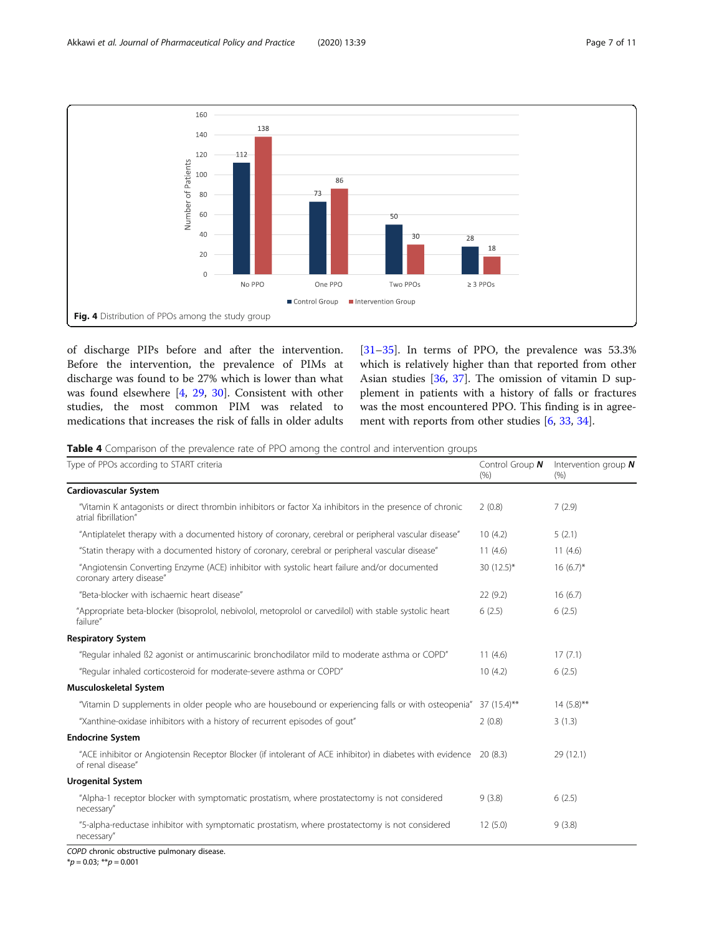<span id="page-6-0"></span>

of discharge PIPs before and after the intervention. Before the intervention, the prevalence of PIMs at discharge was found to be 27% which is lower than what was found elsewhere [[4,](#page-8-0) [29,](#page-9-0) [30](#page-9-0)]. Consistent with other studies, the most common PIM was related to medications that increases the risk of falls in older adults

[[31](#page-9-0)–[35](#page-9-0)]. In terms of PPO, the prevalence was 53.3% which is relatively higher than that reported from other Asian studies [\[36,](#page-9-0) [37\]](#page-9-0). The omission of vitamin D supplement in patients with a history of falls or fractures was the most encountered PPO. This finding is in agreement with reports from other studies [\[6](#page-8-0), [33](#page-9-0), [34](#page-9-0)].

Table 4 Comparison of the prevalence rate of PPO among the control and intervention groups

| Type of PPOs according to START criteria                                                                                                | Control Group $N$<br>(% ) | Intervention group $N$<br>(% ) |
|-----------------------------------------------------------------------------------------------------------------------------------------|---------------------------|--------------------------------|
| Cardiovascular System                                                                                                                   |                           |                                |
| "Vitamin K antagonists or direct thrombin inhibitors or factor Xa inhibitors in the presence of chronic<br>atrial fibrillation"         | 2(0.8)                    | 7(2.9)                         |
| "Antiplatelet therapy with a documented history of coronary, cerebral or peripheral vascular disease"                                   | 10(4.2)                   | 5(2.1)                         |
| "Statin therapy with a documented history of coronary, cerebral or peripheral vascular disease"                                         | 11(4.6)                   | 11(4.6)                        |
| "Angiotensin Converting Enzyme (ACE) inhibitor with systolic heart failure and/or documented<br>coronary artery disease"                | 30 $(12.5)^*$             | $16(6.7)^*$                    |
| "Beta-blocker with ischaemic heart disease"                                                                                             | 22(9.2)                   | 16(6.7)                        |
| "Appropriate beta-blocker (bisoprolol, nebivolol, metoprolol or carvedilol) with stable systolic heart<br>failure"                      | 6(2.5)                    | 6(2.5)                         |
| <b>Respiratory System</b>                                                                                                               |                           |                                |
| "Regular inhaled B2 agonist or antimuscarinic bronchodilator mild to moderate asthma or COPD"                                           | 11(4.6)                   | 17(7.1)                        |
| "Regular inhaled corticosteroid for moderate-severe asthma or COPD"                                                                     | 10(4.2)                   | 6(2.5)                         |
| Musculoskeletal System                                                                                                                  |                           |                                |
| "Vitamin D supplements in older people who are housebound or experiencing falls or with osteopenia" 37 (15.4)**                         |                           | $14(5.8)$ **                   |
| "Xanthine-oxidase inhibitors with a history of recurrent episodes of gout"                                                              | 2(0.8)                    | 3(1.3)                         |
| <b>Endocrine System</b>                                                                                                                 |                           |                                |
| "ACE inhibitor or Angiotensin Receptor Blocker (if intolerant of ACE inhibitor) in diabetes with evidence 20 (8.3)<br>of renal disease" |                           | 29 (12.1)                      |
| <b>Urogenital System</b>                                                                                                                |                           |                                |
| "Alpha-1 receptor blocker with symptomatic prostatism, where prostatectomy is not considered<br>necessary"                              | 9(3.8)                    | 6(2.5)                         |
| "5-alpha-reductase inhibitor with symptomatic prostatism, where prostatectomy is not considered<br>necessary"                           | 12(5.0)                   | 9(3.8)                         |

COPD chronic obstructive pulmonary disease.

 $*p = 0.03; **p = 0.001$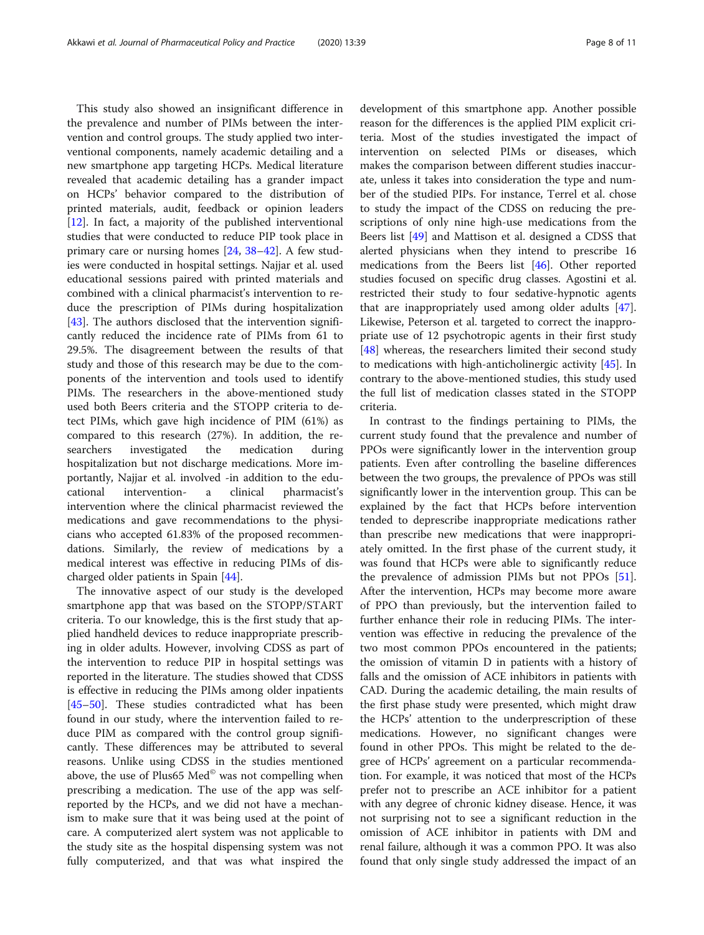This study also showed an insignificant difference in the prevalence and number of PIMs between the intervention and control groups. The study applied two interventional components, namely academic detailing and a new smartphone app targeting HCPs. Medical literature revealed that academic detailing has a grander impact on HCPs' behavior compared to the distribution of printed materials, audit, feedback or opinion leaders [[12\]](#page-9-0). In fact, a majority of the published interventional studies that were conducted to reduce PIP took place in primary care or nursing homes [\[24,](#page-9-0) [38](#page-9-0)–[42](#page-9-0)]. A few studies were conducted in hospital settings. Najjar et al. used educational sessions paired with printed materials and combined with a clinical pharmacist's intervention to reduce the prescription of PIMs during hospitalization [[43\]](#page-9-0). The authors disclosed that the intervention significantly reduced the incidence rate of PIMs from 61 to 29.5%. The disagreement between the results of that study and those of this research may be due to the components of the intervention and tools used to identify PIMs. The researchers in the above-mentioned study used both Beers criteria and the STOPP criteria to detect PIMs, which gave high incidence of PIM (61%) as compared to this research (27%). In addition, the researchers investigated the medication during hospitalization but not discharge medications. More importantly, Najjar et al. involved -in addition to the educational intervention- a clinical pharmacist's intervention where the clinical pharmacist reviewed the medications and gave recommendations to the physicians who accepted 61.83% of the proposed recommendations. Similarly, the review of medications by a medical interest was effective in reducing PIMs of discharged older patients in Spain [\[44](#page-9-0)].

The innovative aspect of our study is the developed smartphone app that was based on the STOPP/START criteria. To our knowledge, this is the first study that applied handheld devices to reduce inappropriate prescribing in older adults. However, involving CDSS as part of the intervention to reduce PIP in hospital settings was reported in the literature. The studies showed that CDSS is effective in reducing the PIMs among older inpatients [[45](#page-9-0)–[50](#page-10-0)]. These studies contradicted what has been found in our study, where the intervention failed to reduce PIM as compared with the control group significantly. These differences may be attributed to several reasons. Unlike using CDSS in the studies mentioned above, the use of Plus65 Med<sup>®</sup> was not compelling when prescribing a medication. The use of the app was selfreported by the HCPs, and we did not have a mechanism to make sure that it was being used at the point of care. A computerized alert system was not applicable to the study site as the hospital dispensing system was not fully computerized, and that was what inspired the development of this smartphone app. Another possible reason for the differences is the applied PIM explicit criteria. Most of the studies investigated the impact of intervention on selected PIMs or diseases, which makes the comparison between different studies inaccurate, unless it takes into consideration the type and number of the studied PIPs. For instance, Terrel et al. chose to study the impact of the CDSS on reducing the prescriptions of only nine high-use medications from the Beers list [\[49\]](#page-10-0) and Mattison et al. designed a CDSS that alerted physicians when they intend to prescribe 16 medications from the Beers list [[46\]](#page-9-0). Other reported studies focused on specific drug classes. Agostini et al. restricted their study to four sedative-hypnotic agents that are inappropriately used among older adults [\[47](#page-10-0)]. Likewise, Peterson et al. targeted to correct the inappropriate use of 12 psychotropic agents in their first study [[48\]](#page-10-0) whereas, the researchers limited their second study to medications with high-anticholinergic activity [\[45](#page-9-0)]. In contrary to the above-mentioned studies, this study used the full list of medication classes stated in the STOPP criteria.

In contrast to the findings pertaining to PIMs, the current study found that the prevalence and number of PPOs were significantly lower in the intervention group patients. Even after controlling the baseline differences between the two groups, the prevalence of PPOs was still significantly lower in the intervention group. This can be explained by the fact that HCPs before intervention tended to deprescribe inappropriate medications rather than prescribe new medications that were inappropriately omitted. In the first phase of the current study, it was found that HCPs were able to significantly reduce the prevalence of admission PIMs but not PPOs [\[51](#page-10-0)]. After the intervention, HCPs may become more aware of PPO than previously, but the intervention failed to further enhance their role in reducing PIMs. The intervention was effective in reducing the prevalence of the two most common PPOs encountered in the patients; the omission of vitamin D in patients with a history of falls and the omission of ACE inhibitors in patients with CAD. During the academic detailing, the main results of the first phase study were presented, which might draw the HCPs' attention to the underprescription of these medications. However, no significant changes were found in other PPOs. This might be related to the degree of HCPs' agreement on a particular recommendation. For example, it was noticed that most of the HCPs prefer not to prescribe an ACE inhibitor for a patient with any degree of chronic kidney disease. Hence, it was not surprising not to see a significant reduction in the omission of ACE inhibitor in patients with DM and renal failure, although it was a common PPO. It was also found that only single study addressed the impact of an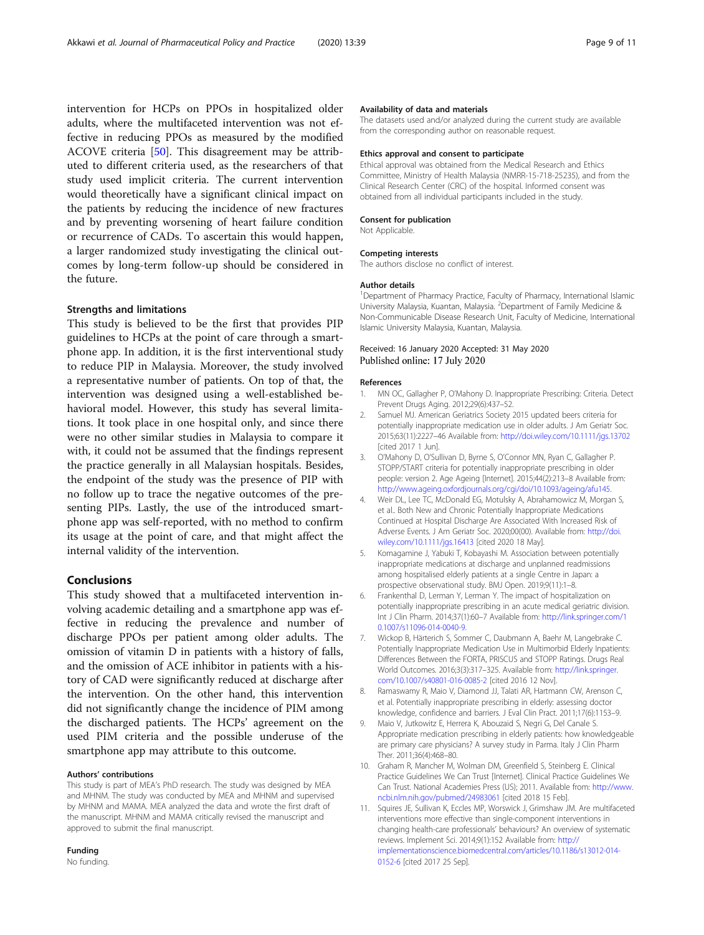<span id="page-8-0"></span>intervention for HCPs on PPOs in hospitalized older adults, where the multifaceted intervention was not effective in reducing PPOs as measured by the modified ACOVE criteria [\[50](#page-10-0)]. This disagreement may be attributed to different criteria used, as the researchers of that study used implicit criteria. The current intervention would theoretically have a significant clinical impact on the patients by reducing the incidence of new fractures and by preventing worsening of heart failure condition or recurrence of CADs. To ascertain this would happen, a larger randomized study investigating the clinical outcomes by long-term follow-up should be considered in the future.

## Strengths and limitations

This study is believed to be the first that provides PIP guidelines to HCPs at the point of care through a smartphone app. In addition, it is the first interventional study to reduce PIP in Malaysia. Moreover, the study involved a representative number of patients. On top of that, the intervention was designed using a well-established behavioral model. However, this study has several limitations. It took place in one hospital only, and since there were no other similar studies in Malaysia to compare it with, it could not be assumed that the findings represent the practice generally in all Malaysian hospitals. Besides, the endpoint of the study was the presence of PIP with no follow up to trace the negative outcomes of the presenting PIPs. Lastly, the use of the introduced smartphone app was self-reported, with no method to confirm its usage at the point of care, and that might affect the internal validity of the intervention.

## Conclusions

This study showed that a multifaceted intervention involving academic detailing and a smartphone app was effective in reducing the prevalence and number of discharge PPOs per patient among older adults. The omission of vitamin D in patients with a history of falls, and the omission of ACE inhibitor in patients with a history of CAD were significantly reduced at discharge after the intervention. On the other hand, this intervention did not significantly change the incidence of PIM among the discharged patients. The HCPs' agreement on the used PIM criteria and the possible underuse of the smartphone app may attribute to this outcome.

## Authors' contributions

This study is part of MEA's PhD research. The study was designed by MEA and MHNM. The study was conducted by MEA and MHNM and supervised by MHNM and MAMA. MEA analyzed the data and wrote the first draft of the manuscript. MHNM and MAMA critically revised the manuscript and approved to submit the final manuscript.

## Funding

No funding.

## Availability of data and materials

The datasets used and/or analyzed during the current study are available from the corresponding author on reasonable request.

## Ethics approval and consent to participate

Ethical approval was obtained from the Medical Research and Ethics Committee, Ministry of Health Malaysia (NMRR-15-718-25235), and from the Clinical Research Center (CRC) of the hospital. Informed consent was obtained from all individual participants included in the study.

### Consent for publication

Not Applicable

## Competing interests

The authors disclose no conflict of interest.

### Author details

<sup>1</sup>Department of Pharmacy Practice, Faculty of Pharmacy, International Islamic University Malaysia, Kuantan, Malaysia. <sup>2</sup>Department of Family Medicine & Non-Communicable Disease Research Unit, Faculty of Medicine, International Islamic University Malaysia, Kuantan, Malaysia.

## Received: 16 January 2020 Accepted: 31 May 2020 Published online: 17 July 2020

### References

- 1. MN OC, Gallagher P, O'Mahony D. Inappropriate Prescribing: Criteria. Detect Prevent Drugs Aging. 2012;29(6):437–52.
- 2. Samuel MJ. American Geriatrics Society 2015 updated beers criteria for potentially inappropriate medication use in older adults. J Am Geriatr Soc. 2015;63(11):2227–46 Available from: <http://doi.wiley.com/10.1111/jgs.13702> [cited 2017 1 Jun].
- 3. O'Mahony D, O'Sullivan D, Byrne S, O'Connor MN, Ryan C, Gallagher P. STOPP/START criteria for potentially inappropriate prescribing in older people: version 2. Age Ageing [Internet]. 2015;44(2):213–8 Available from: [http://www.ageing.oxfordjournals.org/cgi/doi/10.1093/ageing/afu145.](http://www.ageing.oxfordjournals.org/cgi/doi/10.1093/ageing/afu145)
- 4. Weir DL, Lee TC, McDonald EG, Motulsky A, Abrahamowicz M, Morgan S, et al.. Both New and Chronic Potentially Inappropriate Medications Continued at Hospital Discharge Are Associated With Increased Risk of Adverse Events. J Am Geriatr Soc. 2020;00(00). Available from: [http://doi.](http://doi.wiley.com/10.1111/jgs.16413) [wiley.com/10.1111/jgs.16413](http://doi.wiley.com/10.1111/jgs.16413) [cited 2020 18 May].
- 5. Komagamine J, Yabuki T, Kobayashi M. Association between potentially inappropriate medications at discharge and unplanned readmissions among hospitalised elderly patients at a single Centre in Japan: a prospective observational study. BMJ Open. 2019;9(11):1–8.
- 6. Frankenthal D, Lerman Y, Lerman Y. The impact of hospitalization on potentially inappropriate prescribing in an acute medical geriatric division. Int J Clin Pharm. 2014;37(1):60–7 Available from: [http://link.springer.com/1](http://link.springer.com/10.1007/s11096-014-0040-9) [0.1007/s11096-014-0040-9.](http://link.springer.com/10.1007/s11096-014-0040-9)
- 7. Wickop B, Härterich S, Sommer C, Daubmann A, Baehr M, Langebrake C. Potentially Inappropriate Medication Use in Multimorbid Elderly Inpatients: Differences Between the FORTA, PRISCUS and STOPP Ratings. Drugs Real World Outcomes. 2016;3(3):317–325. Available from: [http://link.springer.](http://link.springer.com/10.1007/s40801-016-0085-2) [com/10.1007/s40801-016-0085-2](http://link.springer.com/10.1007/s40801-016-0085-2) [cited 2016 12 Nov].
- Ramaswamy R, Maio V, Diamond JJ, Talati AR, Hartmann CW, Arenson C, et al. Potentially inappropriate prescribing in elderly: assessing doctor knowledge, confidence and barriers. J Eval Clin Pract. 2011;17(6):1153–9.
- 9. Maio V, Jutkowitz E, Herrera K, Abouzaid S, Negri G, Del Canale S. Appropriate medication prescribing in elderly patients: how knowledgeable are primary care physicians? A survey study in Parma. Italy J Clin Pharm Ther. 2011;36(4):468–80.
- 10. Graham R, Mancher M, Wolman DM, Greenfield S, Steinberg E. Clinical Practice Guidelines We Can Trust [Internet]. Clinical Practice Guidelines We Can Trust. National Academies Press (US); 2011. Available from: [http://www.](http://www.ncbi.nlm.nih.gov/pubmed/24983061) [ncbi.nlm.nih.gov/pubmed/24983061](http://www.ncbi.nlm.nih.gov/pubmed/24983061) [cited 2018 15 Feb].
- 11. Squires JE, Sullivan K, Eccles MP, Worswick J, Grimshaw JM. Are multifaceted interventions more effective than single-component interventions in changing health-care professionals' behaviours? An overview of systematic reviews. Implement Sci. 2014;9(1):152 Available from: [http://](http://implementationscience.biomedcentral.com/articles/10.1186/s13012-014-0152-6) [implementationscience.biomedcentral.com/articles/10.1186/s13012-014-](http://implementationscience.biomedcentral.com/articles/10.1186/s13012-014-0152-6) [0152-6](http://implementationscience.biomedcentral.com/articles/10.1186/s13012-014-0152-6) [cited 2017 25 Sep].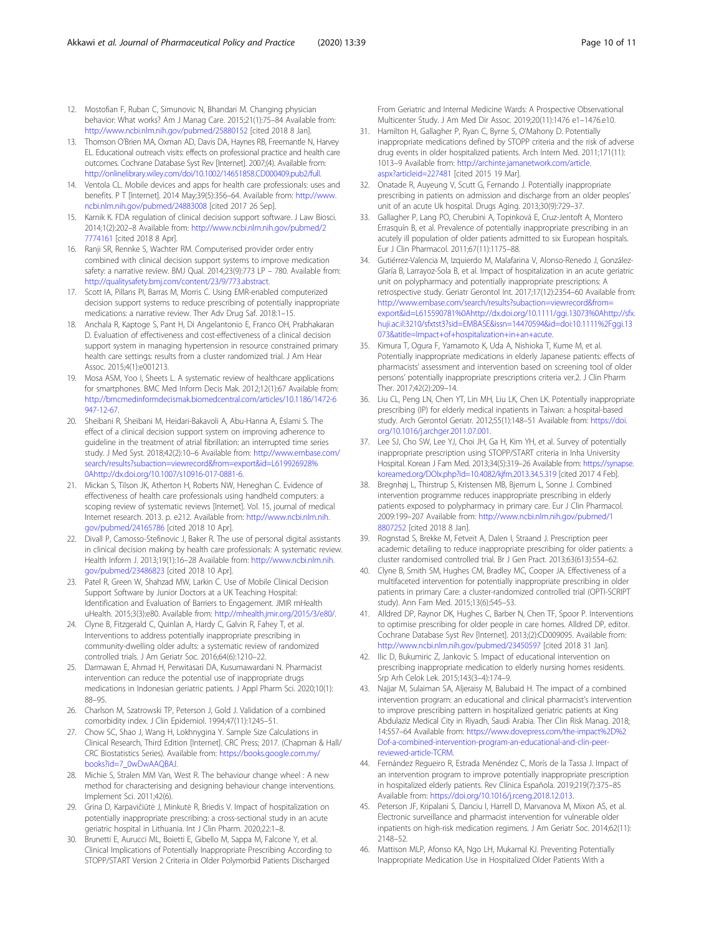- <span id="page-9-0"></span>12. Mostofian F, Ruban C, Simunovic N, Bhandari M. Changing physician behavior: What works? Am J Manag Care. 2015;21(1):75–84 Available from: <http://www.ncbi.nlm.nih.gov/pubmed/25880152> [cited 2018 8 Jan].
- 13. Thomson O'Brien MA, Oxman AD, Davis DA, Haynes RB, Freemantle N, Harvey EL. Educational outreach visits: effects on professional practice and health care outcomes. Cochrane Database Syst Rev [Internet]. 2007;(4). Available from: [http://onlinelibrary.wiley.com/doi/10.1002/14651858.CD000409.pub2/full.](http://onlinelibrary.wiley.com/doi/10.1002/14651858.CD000409.pub2/full)
- 14. Ventola CL. Mobile devices and apps for health care professionals: uses and benefits. P T [Internet]. 2014 May;39(5):356–64. Available from: [http://www.](http://www.ncbi.nlm.nih.gov/pubmed/24883008) [ncbi.nlm.nih.gov/pubmed/24883008](http://www.ncbi.nlm.nih.gov/pubmed/24883008) [cited 2017 26 Sep].
- 15. Karnik K. FDA regulation of clinical decision support software. J Law Biosci. 2014;1(2):202–8 Available from: [http://www.ncbi.nlm.nih.gov/pubmed/2](http://www.ncbi.nlm.nih.gov/pubmed/27774161) [7774161](http://www.ncbi.nlm.nih.gov/pubmed/27774161) [cited 2018 8 Apr].
- 16. Ranji SR, Rennke S, Wachter RM. Computerised provider order entry combined with clinical decision support systems to improve medication safety: a narrative review. BMJ Qual. 2014;23(9):773 LP – 780. Available from: <http://qualitysafety.bmj.com/content/23/9/773.abstract>.
- 17. Scott IA, Pillans PI, Barras M, Morris C. Using EMR-enabled computerized decision support systems to reduce prescribing of potentially inappropriate medications: a narrative review. Ther Adv Drug Saf. 2018:1–15.
- 18. Anchala R, Kaptoge S, Pant H, Di Angelantonio E, Franco OH, Prabhakaran D. Evaluation of effectiveness and cost-effectiveness of a clinical decision support system in managing hypertension in resource constrained primary health care settings: results from a cluster randomized trial. J Am Hear Assoc. 2015;4(1):e001213.
- 19. Mosa ASM, Yoo I, Sheets L. A systematic review of healthcare applications for smartphones. BMC Med Inform Decis Mak. 2012;12(1):67 Available from: [http://bmcmedinformdecismak.biomedcentral.com/articles/10.1186/1472-6](http://bmcmedinformdecismak.biomedcentral.com/articles/10.1186/1472-6947-12-67) [947-12-67.](http://bmcmedinformdecismak.biomedcentral.com/articles/10.1186/1472-6947-12-67)
- 20. Sheibani R, Sheibani M, Heidari-Bakavoli A, Abu-Hanna A, Eslami S. The effect of a clinical decision support system on improving adherence to guideline in the treatment of atrial fibrillation: an interrupted time series study. J Med Syst. 2018;42(2):10–6 Available from: [http://www.embase.com/](http://www.embase.com/search/results?subaction=viewrecord&from=export&id=L615590781%0Ahttp://dx.doi.org/10.1111/ggi.13073%0Ahttp://sfx.huji.ac.il:3210/sfxtst3?sid=EMBASE&issn=14470594&id=doi:10.1111%2Fggi.13073&atitle=Impact+of+hospitalization+in+an+acute) [search/results?subaction=viewrecord&from=export&id=L619926928%](http://www.embase.com/search/results?subaction=viewrecord&from=export&id=L615590781%0Ahttp://dx.doi.org/10.1111/ggi.13073%0Ahttp://sfx.huji.ac.il:3210/sfxtst3?sid=EMBASE&issn=14470594&id=doi:10.1111%2Fggi.13073&atitle=Impact+of+hospitalization+in+an+acute) [0Ahttp://dx.doi.org/10.1007/s10916-017-0881-6](http://www.embase.com/search/results?subaction=viewrecord&from=export&id=L615590781%0Ahttp://dx.doi.org/10.1111/ggi.13073%0Ahttp://sfx.huji.ac.il:3210/sfxtst3?sid=EMBASE&issn=14470594&id=doi:10.1111%2Fggi.13073&atitle=Impact+of+hospitalization+in+an+acute).
- 21. Mickan S, Tilson JK, Atherton H, Roberts NW, Heneghan C. Evidence of effectiveness of health care professionals using handheld computers: a scoping review of systematic reviews [Internet]. Vol. 15, journal of medical Internet research. 2013. p. e212. Available from: [http://www.ncbi.nlm.nih.](http://www.ncbi.nlm.nih.gov/pubmed/24165786) [gov/pubmed/24165786](http://www.ncbi.nlm.nih.gov/pubmed/24165786) [cited 2018 10 Apr].
- 22. Divall P, Camosso-Stefinovic J, Baker R. The use of personal digital assistants in clinical decision making by health care professionals: A systematic review. Health Inform J. 2013;19(1):16–28 Available from: [http://www.ncbi.nlm.nih.](http://www.ncbi.nlm.nih.gov/pubmed/23486823) [gov/pubmed/23486823](http://www.ncbi.nlm.nih.gov/pubmed/23486823) [cited 2018 10 Apr].
- 23. Patel R, Green W, Shahzad MW, Larkin C. Use of Mobile Clinical Decision Support Software by Junior Doctors at a UK Teaching Hospital: Identification and Evaluation of Barriers to Engagement. JMIR mHealth uHealth. 2015;3(3):e80. Available from: <http://mhealth.jmir.org/2015/3/e80/>.
- 24. Clyne B, Fitzgerald C, Quinlan A, Hardy C, Galvin R, Fahey T, et al. Interventions to address potentially inappropriate prescribing in community-dwelling older adults: a systematic review of randomized controlled trials. J Am Geriatr Soc. 2016;64(6):1210–22.
- 25. Darmawan E, Ahmad H, Perwitasari DA, Kusumawardani N. Pharmacist intervention can reduce the potential use of inappropriate drugs medications in Indonesian geriatric patients. J Appl Pharm Sci. 2020;10(1): 88–95.
- 26. Charlson M, Szatrowski TP, Peterson J, Gold J. Validation of a combined comorbidity index. J Clin Epidemiol. 1994;47(11):1245–51.
- 27. Chow SC, Shao J, Wang H, Lokhnygina Y. Sample Size Calculations in Clinical Research, Third Edition [Internet]. CRC Press; 2017. (Chapman & Hall/ CRC Biostatistics Series). Available from: [https://books.google.com.my/](https://books.google.com.my/books?id=7_0wDwAAQBAJ) [books?id=7\\_0wDwAAQBAJ](https://books.google.com.my/books?id=7_0wDwAAQBAJ).
- 28. Michie S, Stralen MM Van, West R. The behaviour change wheel : A new method for characterising and designing behaviour change interventions. Implement Sci. 2011;42(6).
- 29. Grina D, Karpavičiūtė J, Minkutė R, Briedis V. Impact of hospitalization on potentially inappropriate prescribing: a cross-sectional study in an acute geriatric hospital in Lithuania. Int J Clin Pharm. 2020;22:1–8.
- 30. Brunetti E, Aurucci ML, Boietti E, Gibello M, Sappa M, Falcone Y, et al. Clinical Implications of Potentially Inappropriate Prescribing According to STOPP/START Version 2 Criteria in Older Polymorbid Patients Discharged

From Geriatric and Internal Medicine Wards: A Prospective Observational Multicenter Study. J Am Med Dir Assoc. 2019;20(11):1476 e1–1476.e10.

- 31. Hamilton H, Gallagher P, Ryan C, Byrne S, O'Mahony D. Potentially inappropriate medications defined by STOPP criteria and the risk of adverse drug events in older hospitalized patients. Arch Intern Med. 2011;171(11): 1013–9 Available from: [http://archinte.jamanetwork.com/article.](http://archinte.jamanetwork.com/article.aspx?articleid=227481) [aspx?articleid=227481](http://archinte.jamanetwork.com/article.aspx?articleid=227481) [cited 2015 19 Mar].
- 32. Onatade R, Auyeung V, Scutt G, Fernando J. Potentially inappropriate prescribing in patients on admission and discharge from an older peoples' unit of an acute Uk hospital. Drugs Aging. 2013;30(9):729–37.
- 33. Gallagher P, Lang PO, Cherubini A, Topinková E, Cruz-Jentoft A, Montero Errasquín B, et al. Prevalence of potentially inappropriate prescribing in an acutely ill population of older patients admitted to six European hospitals. Eur J Clin Pharmacol. 2011;67(11):1175–88.
- 34. Gutiérrez-Valencia M, Izquierdo M, Malafarina V, Alonso-Renedo J, González-Glaría B, Larrayoz-Sola B, et al. Impact of hospitalization in an acute geriatric unit on polypharmacy and potentially inappropriate prescriptions: A retrospective study. Geriatr Gerontol Int. 2017;17(12):2354–60 Available from: [http://www.embase.com/search/results?subaction=viewrecord&from=](http://www.embase.com/search/results?subaction=viewrecord&from=export&id=L615590781%0Ahttp://dx.doi.org/10.1111/ggi.13073%0Ahttp://sfx.huji.ac.il:3210/sfxtst3?sid=EMBASE&issn=14470594&id=doi:10.1111%2Fggi.13073&atitle=Impact+of+hospitalization+in+an+acute) [export&id=L615590781%0Ahttp://dx.doi.org/10.1111/ggi.13073%0Ahttp://sfx.](http://www.embase.com/search/results?subaction=viewrecord&from=export&id=L615590781%0Ahttp://dx.doi.org/10.1111/ggi.13073%0Ahttp://sfx.huji.ac.il:3210/sfxtst3?sid=EMBASE&issn=14470594&id=doi:10.1111%2Fggi.13073&atitle=Impact+of+hospitalization+in+an+acute) [huji.ac.il:3210/sfxtst3?sid=EMBASE&issn=14470594&id=doi:10.1111%2Fggi.13](http://www.embase.com/search/results?subaction=viewrecord&from=export&id=L615590781%0Ahttp://dx.doi.org/10.1111/ggi.13073%0Ahttp://sfx.huji.ac.il:3210/sfxtst3?sid=EMBASE&issn=14470594&id=doi:10.1111%2Fggi.13073&atitle=Impact+of+hospitalization+in+an+acute) [073&atitle=Impact+of+hospitalization+in+an+acute](http://www.embase.com/search/results?subaction=viewrecord&from=export&id=L615590781%0Ahttp://dx.doi.org/10.1111/ggi.13073%0Ahttp://sfx.huji.ac.il:3210/sfxtst3?sid=EMBASE&issn=14470594&id=doi:10.1111%2Fggi.13073&atitle=Impact+of+hospitalization+in+an+acute).
- 35. Kimura T, Ogura F, Yamamoto K, Uda A, Nishioka T, Kume M, et al. Potentially inappropriate medications in elderly Japanese patients: effects of pharmacists' assessment and intervention based on screening tool of older persons' potentially inappropriate prescriptions criteria ver.2. J Clin Pharm Ther. 2017;42(2):209–14.
- 36. Liu CL, Peng LN, Chen YT, Lin MH, Liu LK, Chen LK. Potentially inappropriate prescribing (IP) for elderly medical inpatients in Taiwan: a hospital-based study. Arch Gerontol Geriatr. 2012;55(1):148–51 Available from: [https://doi.](https://doi.org/10.1016/j.archger.2011.07.001) [org/10.1016/j.archger.2011.07.001](https://doi.org/10.1016/j.archger.2011.07.001).
- 37. Lee SJ, Cho SW, Lee YJ, Choi JH, Ga H, Kim YH, et al. Survey of potentially inappropriate prescription using STOPP/START criteria in Inha University Hospital. Korean J Fam Med. 2013;34(5):319–26 Available from: [https://synapse.](https://synapse.koreamed.org/DOIx.php?id=10.4082/kjfm.2013.34.5.319) [koreamed.org/DOIx.php?id=10.4082/kjfm.2013.34.5.319](https://synapse.koreamed.org/DOIx.php?id=10.4082/kjfm.2013.34.5.319) [cited 2017 4 Feb].
- 38. Bregnhøj L, Thirstrup S, Kristensen MB, Bjerrum L, Sonne J. Combined intervention programme reduces inappropriate prescribing in elderly patients exposed to polypharmacy in primary care. Eur J Clin Pharmacol. 2009:199–207 Available from: [http://www.ncbi.nlm.nih.gov/pubmed/1](http://www.ncbi.nlm.nih.gov/pubmed/18807252) [8807252](http://www.ncbi.nlm.nih.gov/pubmed/18807252) [cited 2018 8 Jan].
- 39. Rognstad S, Brekke M, Fetveit A, Dalen I, Straand J. Prescription peer academic detailing to reduce inappropriate prescribing for older patients: a cluster randomised controlled trial. Br J Gen Pract. 2013;63(613):554–62.
- 40. Clyne B, Smith SM, Hughes CM, Bradley MC, Cooper JA. Effectiveness of a multifaceted intervention for potentially inappropriate prescribing in older patients in primary Care: a cluster-randomized controlled trial (OPTI-SCRIPT study). Ann Fam Med. 2015;13(6):545–53.
- 41. Alldred DP, Raynor DK, Hughes C, Barber N, Chen TF, Spoor P. Interventions to optimise prescribing for older people in care homes. Alldred DP, editor. Cochrane Database Syst Rev [Internet]. 2013;(2):CD009095. Available from: <http://www.ncbi.nlm.nih.gov/pubmed/23450597> [cited 2018 31 Jan].
- 42. Ilic D, Bukumiric Z, Jankovic S. Impact of educational intervention on prescribing inappropriate medication to elderly nursing homes residents. Srp Arh Celok Lek. 2015;143(3–4):174–9.
- 43. Najjar M, Sulaiman SA, Aljeraisy M, Balubaid H. The impact of a combined intervention program: an educational and clinical pharmacist's intervention to improve prescribing pattern in hospitalized geriatric patients at King Abdulaziz Medical City in Riyadh, Saudi Arabia. Ther Clin Risk Manag. 2018; 14:557–64 Available from: [https://www.dovepress.com/the-impact%2D%2](https://www.dovepress.com/the-impact%2D%2Dof-a-combined-intervention-program-an-educational-and-clin-peer-reviewed-article-TCRM) [Dof-a-combined-intervention-program-an-educational-and-clin-peer](https://www.dovepress.com/the-impact%2D%2Dof-a-combined-intervention-program-an-educational-and-clin-peer-reviewed-article-TCRM)[reviewed-article-TCRM](https://www.dovepress.com/the-impact%2D%2Dof-a-combined-intervention-program-an-educational-and-clin-peer-reviewed-article-TCRM).
- 44. Fernández Regueiro R, Estrada Menéndez C, Morís de la Tassa J. Impact of an intervention program to improve potentially inappropriate prescription in hospitalized elderly patients. Rev Clínica Española. 2019;219(7):375–85 Available from: [https://doi.org/10.1016/j.rceng.2018.12.013.](https://doi.org/10.1016/j.rceng.2018.12.013)
- 45. Peterson JF, Kripalani S, Danciu I, Harrell D, Marvanova M, Mixon AS, et al. Electronic surveillance and pharmacist intervention for vulnerable older inpatients on high-risk medication regimens. J Am Geriatr Soc. 2014;62(11): 2148–52.
- 46. Mattison MLP, Afonso KA, Ngo LH, Mukamal KJ. Preventing Potentially Inappropriate Medication Use in Hospitalized Older Patients With a